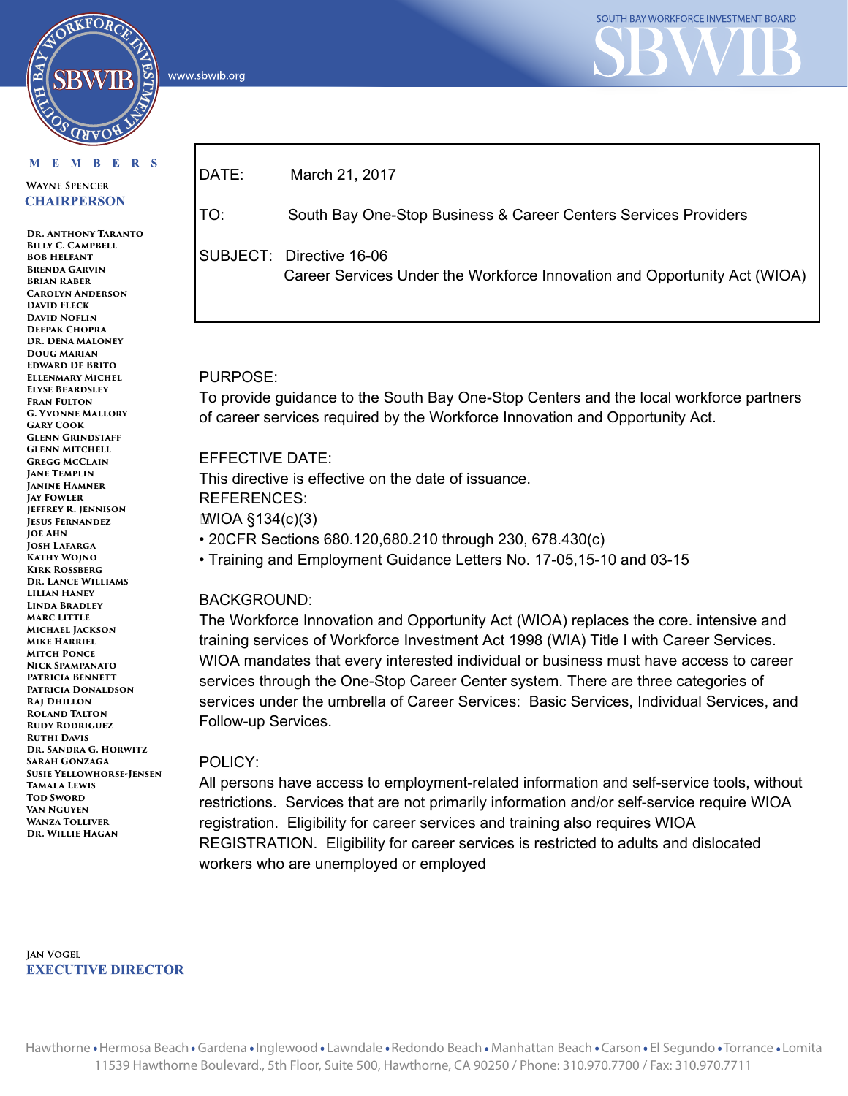www.sbwib.org

# M E M B E R S

RKFORC

**WAYNE SPENCER CHAIRPERSON** 

**Dr. Anthony Taranto Billy C. Campbell BOB HELFANT Brenda Garvin Brian Raber Carolyn Anderson David Fleck David Noflin Deepak Chopra Dr. Dena Maloney Doug Marian Edward De Brito Ellenmary Michel Elyse Beardsley Fran Fulton G. Yvonne Mallory Gary Cook Glenn Grindstaff Glenn Mitchell Gregg McClain Jane Templin Janine Hamner Jay Fowler Jeffrey R. Jennison Jesus Fernandez Joe Ahn Josh Lafarga Kathy Wojno Kirk Rossberg Dr. Lance Williams Lilian Haney Linda Bradley Marc Little Michael Jackson Mike Harriel Mitch Ponce Nick Spampanato Patricia Bennett Patricia Donaldson Raj Dhillon Roland Talton Rudy Rodriguez Ruthi Davis Dr. Sandra G. Horwitz Sarah Gonzaga Susie Yellowhorse-Jensen Tamala Lewis TOD SWORD Van Nguyen Wanza Tolliver Dr. Willie Hagan**

DATE: March 21, 2017 TO: South Bay One-Stop Business & Career Centers Services Providers SUBJECT: Directive 16-06 Career Services Under the Workforce Innovation and Opportunity Act (WIOA)

# PURPOSE:

To provide guidance to the South Bay One-Stop Centers and the local workforce partners of career services required by the Workforce Innovation and Opportunity Act.

# EFFECTIVE DATE:

This directive is effective on the date of issuance. REFERENCES: WIOA §134(c)(3) • 20CFR Sections 680.120,680.210 through 230, 678.430(c)

• Training and Employment Guidance Letters No. 17-05,15-10 and 03-15

# BACKGROUND:

The Workforce Innovation and Opportunity Act (WIOA) replaces the core. intensive and training services of Workforce Investment Act 1998 (WIA) Title I with Career Services. WIOA mandates that every interested individual or business must have access to career services through the One-Stop Career Center system. There are three categories of services under the umbrella of Career Services: Basic Services, Individual Services, and Follow-up Services.

# POLICY:

All persons have access to employment-related information and self-service tools, without restrictions. Services that are not primarily information and/or self-service require WIOA registration. Eligibility for career services and training also requires WIOA REGISTRATION. Eligibility for career services is restricted to adults and dislocated workers who are unemployed or employed

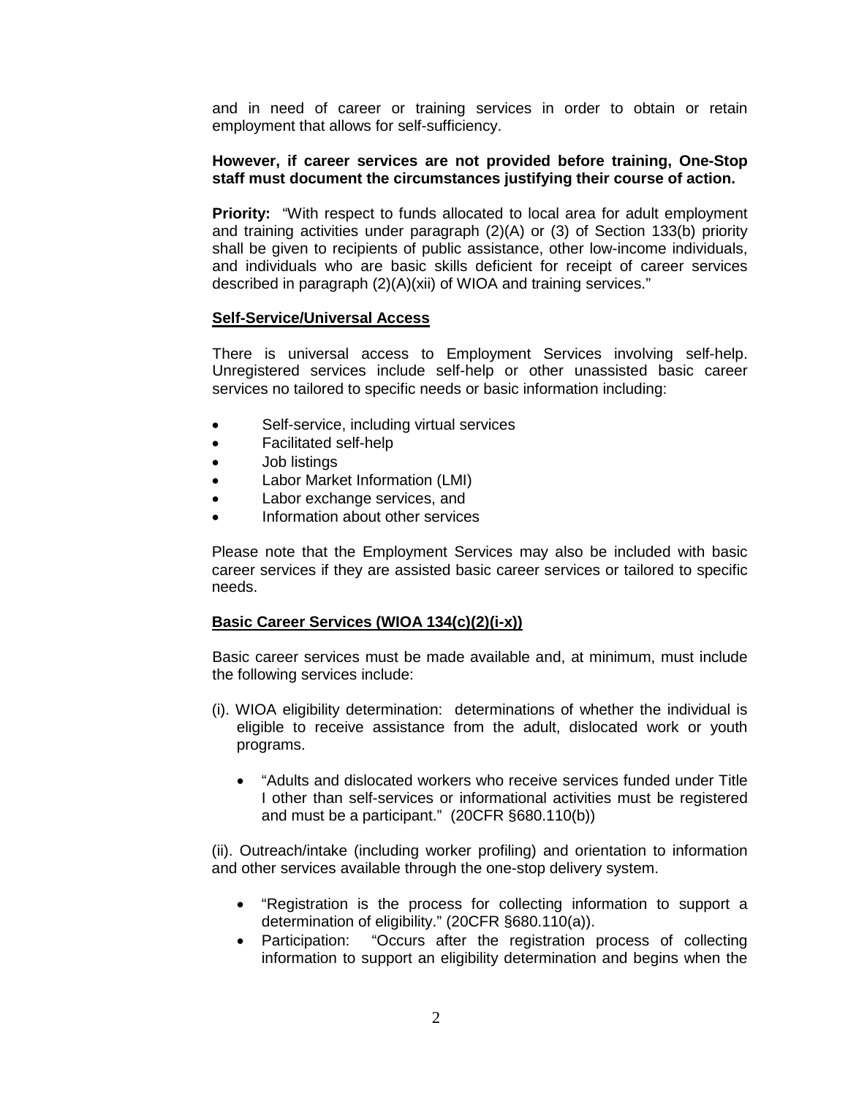and in need of career or training services in order to obtain or retain employment that allows for self-sufficiency.

### **However, if career services are not provided before training, One-Stop staff must document the circumstances justifying their course of action.**

**Priority:** "With respect to funds allocated to local area for adult employment and training activities under paragraph (2)(A) or (3) of Section 133(b) priority shall be given to recipients of public assistance, other low-income individuals, and individuals who are basic skills deficient for receipt of career services described in paragraph (2)(A)(xii) of WIOA and training services."

#### **Self-Service/Universal Access**

There is universal access to Employment Services involving self-help. Unregistered services include self-help or other unassisted basic career services no tailored to specific needs or basic information including:

- Self-service, including virtual services
- Facilitated self-help
- Job listings
- Labor Market Information (LMI)
- Labor exchange services, and
- Information about other services

Please note that the Employment Services may also be included with basic career services if they are assisted basic career services or tailored to specific needs.

#### **Basic Career Services (WIOA 134(c)(2)(i-x))**

Basic career services must be made available and, at minimum, must include the following services include:

- (i). WIOA eligibility determination: determinations of whether the individual is eligible to receive assistance from the adult, dislocated work or youth programs.
	- "Adults and dislocated workers who receive services funded under Title I other than self-services or informational activities must be registered and must be a participant." (20CFR §680.110(b))

(ii). Outreach/intake (including worker profiling) and orientation to information and other services available through the one-stop delivery system.

- "Registration is the process for collecting information to support a determination of eligibility." (20CFR §680.110(a)).
- Participation: "Occurs after the registration process of collecting information to support an eligibility determination and begins when the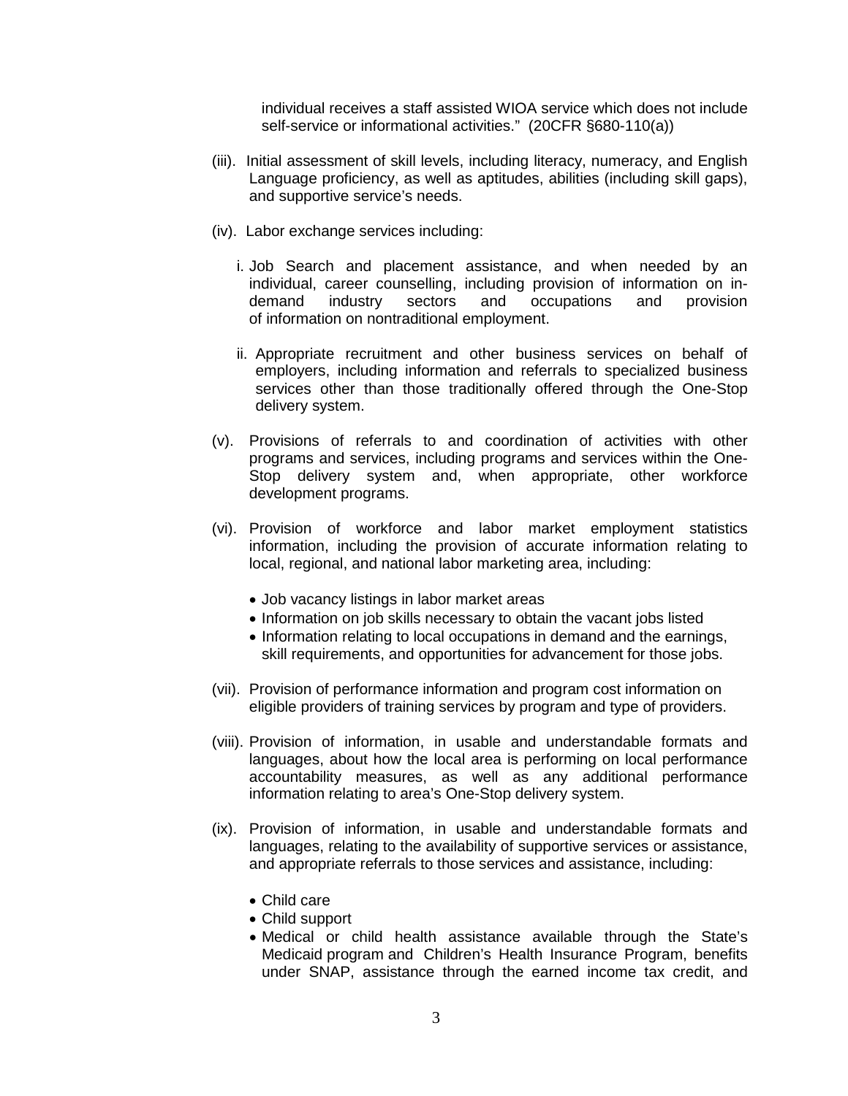individual receives a staff assisted WIOA service which does not include self-service or informational activities." (20CFR §680-110(a))

- (iii). Initial assessment of skill levels, including literacy, numeracy, and English Language proficiency, as well as aptitudes, abilities (including skill gaps), and supportive service's needs.
- (iv). Labor exchange services including:
	- i. Job Search and placement assistance, and when needed by an individual, career counselling, including provision of information on indemand industry sectors and occupations and provision of information on nontraditional employment.
	- ii. Appropriate recruitment and other business services on behalf of employers, including information and referrals to specialized business services other than those traditionally offered through the One-Stop delivery system.
- (v). Provisions of referrals to and coordination of activities with other programs and services, including programs and services within the One-Stop delivery system and, when appropriate, other workforce development programs.
- (vi). Provision of workforce and labor market employment statistics information, including the provision of accurate information relating to local, regional, and national labor marketing area, including:
	- Job vacancy listings in labor market areas
	- Information on job skills necessary to obtain the vacant jobs listed
	- Information relating to local occupations in demand and the earnings, skill requirements, and opportunities for advancement for those jobs.
- (vii). Provision of performance information and program cost information on eligible providers of training services by program and type of providers.
- (viii). Provision of information, in usable and understandable formats and languages, about how the local area is performing on local performance accountability measures, as well as any additional performance information relating to area's One-Stop delivery system.
- (ix). Provision of information, in usable and understandable formats and languages, relating to the availability of supportive services or assistance, and appropriate referrals to those services and assistance, including:
	- Child care
	- Child support
	- Medical or child health assistance available through the State's Medicaid program and Children's Health Insurance Program, benefits under SNAP, assistance through the earned income tax credit, and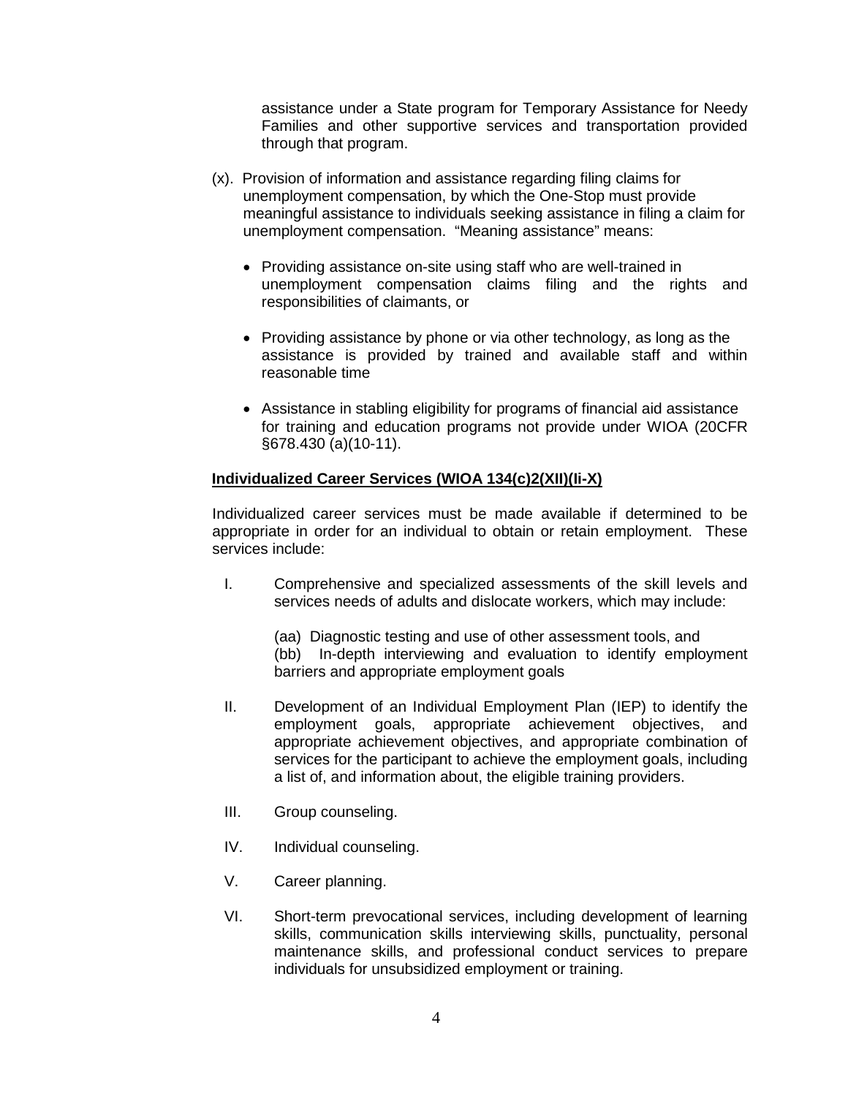assistance under a State program for Temporary Assistance for Needy Families and other supportive services and transportation provided through that program.

- (x). Provision of information and assistance regarding filing claims for unemployment compensation, by which the One-Stop must provide meaningful assistance to individuals seeking assistance in filing a claim for unemployment compensation. "Meaning assistance" means:
	- Providing assistance on-site using staff who are well-trained in unemployment compensation claims filing and the rights and responsibilities of claimants, or
	- Providing assistance by phone or via other technology, as long as the assistance is provided by trained and available staff and within reasonable time
	- Assistance in stabling eligibility for programs of financial aid assistance for training and education programs not provide under WIOA (20CFR §678.430 (a)(10-11).

# **Individualized Career Services (WIOA 134(c)2(XII)(Ii-X)**

Individualized career services must be made available if determined to be appropriate in order for an individual to obtain or retain employment. These services include:

I. Comprehensive and specialized assessments of the skill levels and services needs of adults and dislocate workers, which may include:

(aa) Diagnostic testing and use of other assessment tools, and (bb) In-depth interviewing and evaluation to identify employment barriers and appropriate employment goals

- II. Development of an Individual Employment Plan (IEP) to identify the employment goals, appropriate achievement objectives, and appropriate achievement objectives, and appropriate combination of services for the participant to achieve the employment goals, including a list of, and information about, the eligible training providers.
- III. Group counseling.
- IV. Individual counseling.
- V. Career planning.
- VI. Short-term prevocational services, including development of learning skills, communication skills interviewing skills, punctuality, personal maintenance skills, and professional conduct services to prepare individuals for unsubsidized employment or training.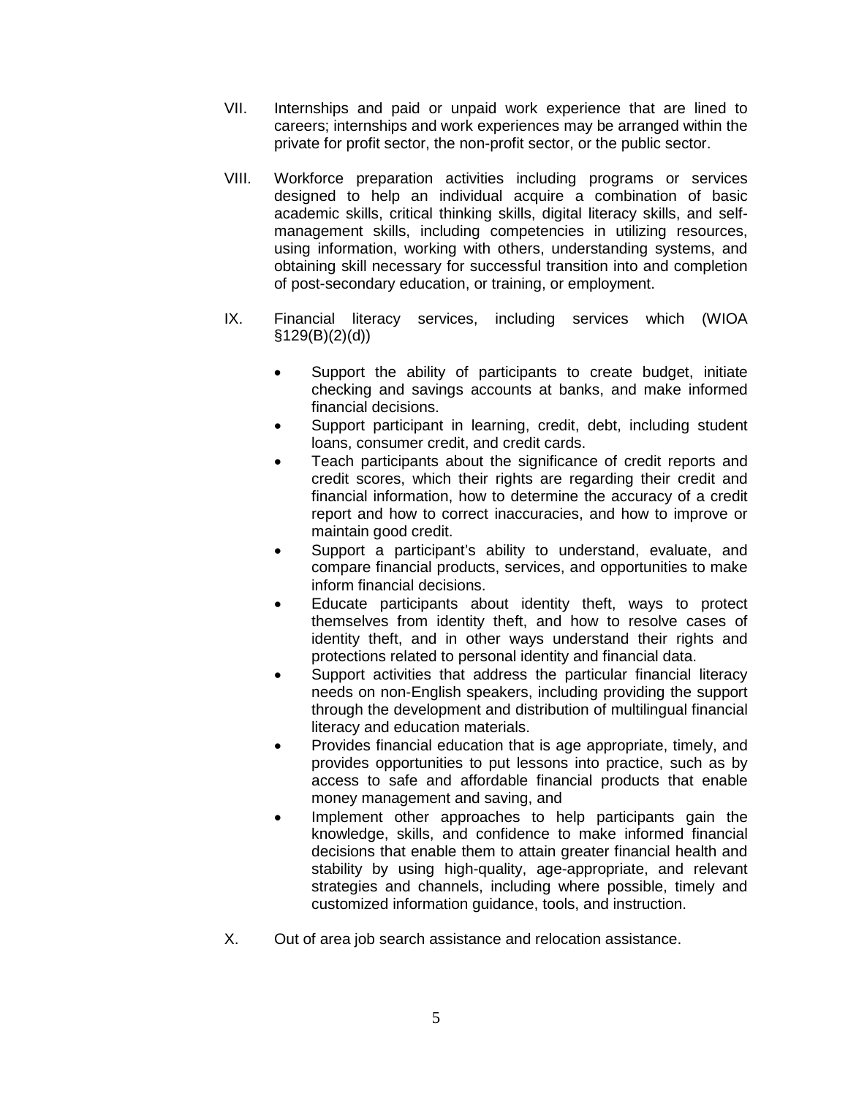- VII. Internships and paid or unpaid work experience that are lined to careers; internships and work experiences may be arranged within the private for profit sector, the non-profit sector, or the public sector.
- VIII. Workforce preparation activities including programs or services designed to help an individual acquire a combination of basic academic skills, critical thinking skills, digital literacy skills, and selfmanagement skills, including competencies in utilizing resources, using information, working with others, understanding systems, and obtaining skill necessary for successful transition into and completion of post-secondary education, or training, or employment.
- IX. Financial literacy services, including services which (WIOA  $§129(B)(2)(d))$ 
	- Support the ability of participants to create budget, initiate checking and savings accounts at banks, and make informed financial decisions.
	- Support participant in learning, credit, debt, including student loans, consumer credit, and credit cards.
	- Teach participants about the significance of credit reports and credit scores, which their rights are regarding their credit and financial information, how to determine the accuracy of a credit report and how to correct inaccuracies, and how to improve or maintain good credit.
	- Support a participant's ability to understand, evaluate, and compare financial products, services, and opportunities to make inform financial decisions.
	- Educate participants about identity theft, ways to protect themselves from identity theft, and how to resolve cases of identity theft, and in other ways understand their rights and protections related to personal identity and financial data.
	- Support activities that address the particular financial literacy needs on non-English speakers, including providing the support through the development and distribution of multilingual financial literacy and education materials.
	- Provides financial education that is age appropriate, timely, and provides opportunities to put lessons into practice, such as by access to safe and affordable financial products that enable money management and saving, and
	- Implement other approaches to help participants gain the knowledge, skills, and confidence to make informed financial decisions that enable them to attain greater financial health and stability by using high-quality, age-appropriate, and relevant strategies and channels, including where possible, timely and customized information guidance, tools, and instruction.
- X. Out of area job search assistance and relocation assistance.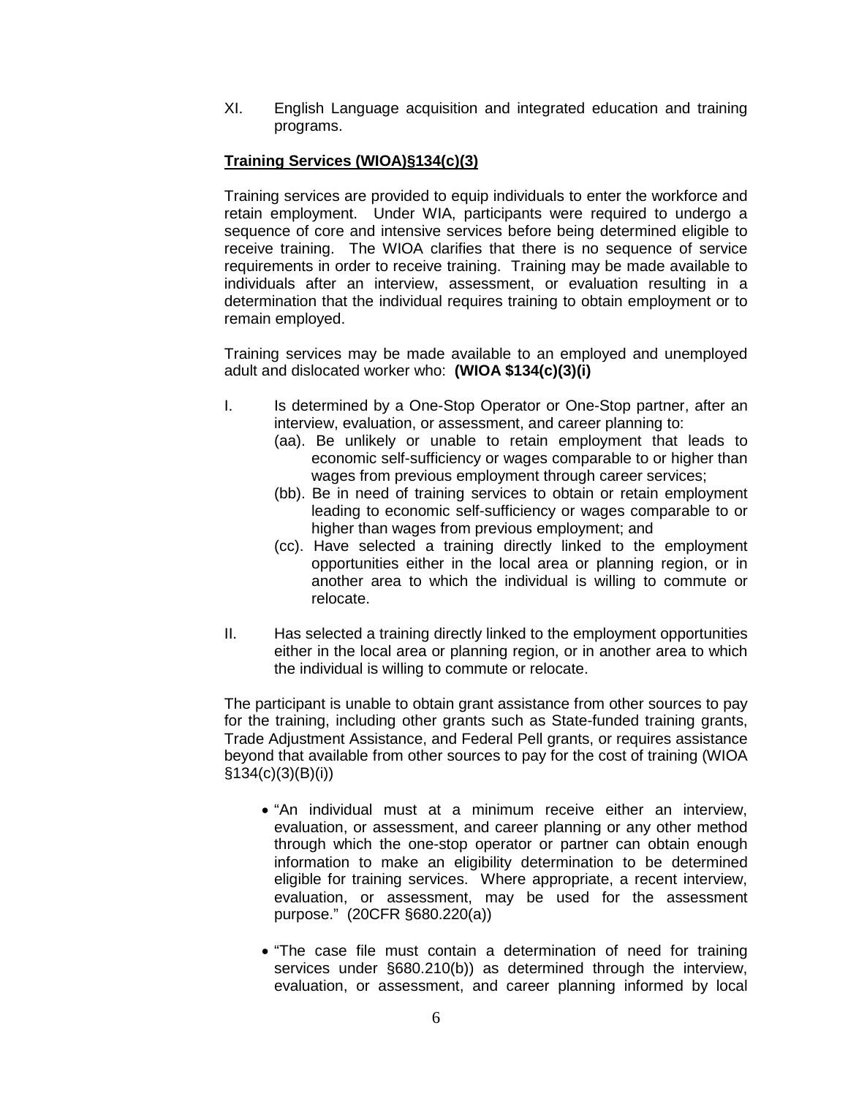XI. English Language acquisition and integrated education and training programs.

# **Training Services (WIOA)§134(c)(3)**

Training services are provided to equip individuals to enter the workforce and retain employment. Under WIA, participants were required to undergo a sequence of core and intensive services before being determined eligible to receive training. The WIOA clarifies that there is no sequence of service requirements in order to receive training. Training may be made available to individuals after an interview, assessment, or evaluation resulting in a determination that the individual requires training to obtain employment or to remain employed.

Training services may be made available to an employed and unemployed adult and dislocated worker who: **(WIOA \$134(c)(3)(i)**

- I. Is determined by a One-Stop Operator or One-Stop partner, after an interview, evaluation, or assessment, and career planning to:
	- (aa). Be unlikely or unable to retain employment that leads to economic self-sufficiency or wages comparable to or higher than wages from previous employment through career services;
	- (bb). Be in need of training services to obtain or retain employment leading to economic self-sufficiency or wages comparable to or higher than wages from previous employment; and
	- (cc). Have selected a training directly linked to the employment opportunities either in the local area or planning region, or in another area to which the individual is willing to commute or relocate.
- II. Has selected a training directly linked to the employment opportunities either in the local area or planning region, or in another area to which the individual is willing to commute or relocate.

The participant is unable to obtain grant assistance from other sources to pay for the training, including other grants such as State-funded training grants, Trade Adjustment Assistance, and Federal Pell grants, or requires assistance beyond that available from other sources to pay for the cost of training (WIOA §134(c)(3)(B)(i))

- "An individual must at a minimum receive either an interview, evaluation, or assessment, and career planning or any other method through which the one-stop operator or partner can obtain enough information to make an eligibility determination to be determined eligible for training services. Where appropriate, a recent interview, evaluation, or assessment, may be used for the assessment purpose." (20CFR §680.220(a))
- "The case file must contain a determination of need for training services under §680.210(b)) as determined through the interview, evaluation, or assessment, and career planning informed by local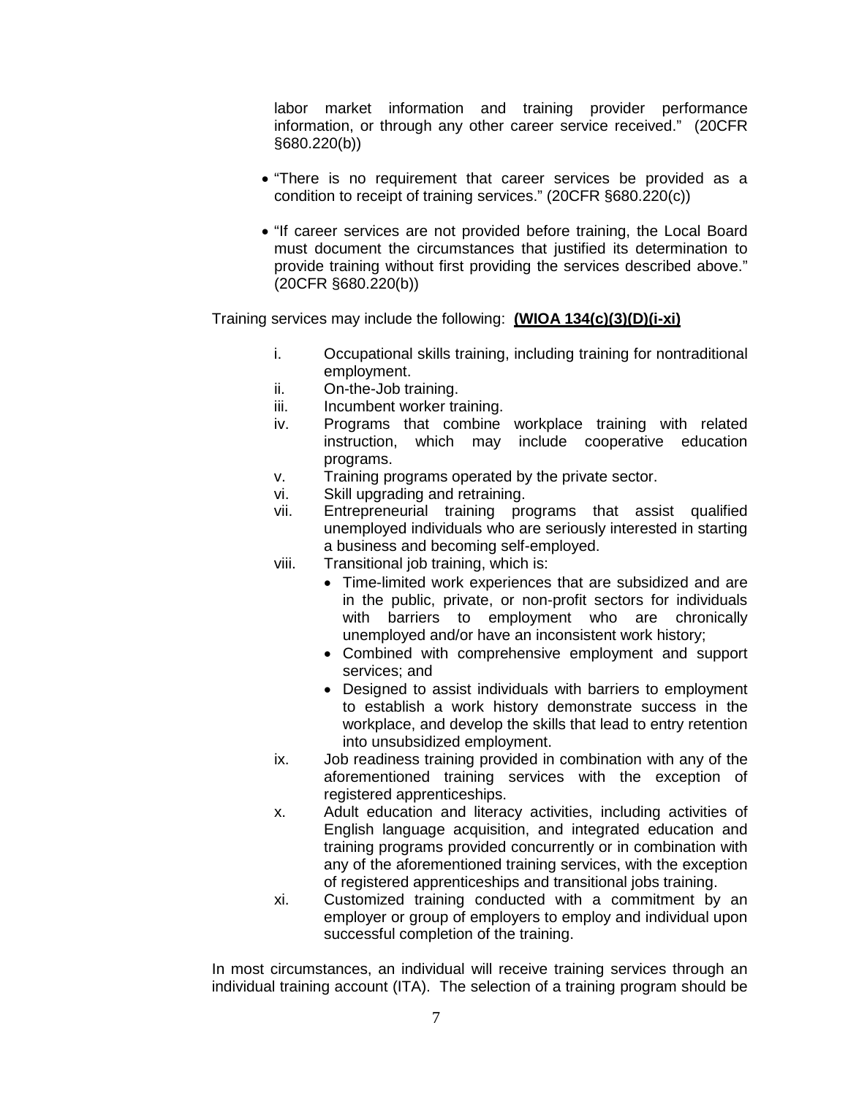labor market information and training provider performance information, or through any other career service received." (20CFR §680.220(b))

- "There is no requirement that career services be provided as a condition to receipt of training services." (20CFR §680.220(c))
- "If career services are not provided before training, the Local Board must document the circumstances that justified its determination to provide training without first providing the services described above." (20CFR §680.220(b))

Training services may include the following: **(WIOA 134(c)(3)(D)(i-xi)**

- i. Occupational skills training, including training for nontraditional employment.
- ii. On-the-Job training.
- iii. Incumbent worker training.
- iv. Programs that combine workplace training with related instruction, which may include cooperative education programs.
- v. Training programs operated by the private sector.
- vi. Skill upgrading and retraining.
- vii. Entrepreneurial training programs that assist qualified unemployed individuals who are seriously interested in starting a business and becoming self-employed.
- viii. Transitional job training, which is:
	- Time-limited work experiences that are subsidized and are in the public, private, or non-profit sectors for individuals with barriers to employment who are chronically unemployed and/or have an inconsistent work history;
	- Combined with comprehensive employment and support services; and
	- Designed to assist individuals with barriers to employment to establish a work history demonstrate success in the workplace, and develop the skills that lead to entry retention into unsubsidized employment.
- ix. Job readiness training provided in combination with any of the aforementioned training services with the exception of registered apprenticeships.
- x. Adult education and literacy activities, including activities of English language acquisition, and integrated education and training programs provided concurrently or in combination with any of the aforementioned training services, with the exception of registered apprenticeships and transitional jobs training.
- xi. Customized training conducted with a commitment by an employer or group of employers to employ and individual upon successful completion of the training.

In most circumstances, an individual will receive training services through an individual training account (ITA). The selection of a training program should be